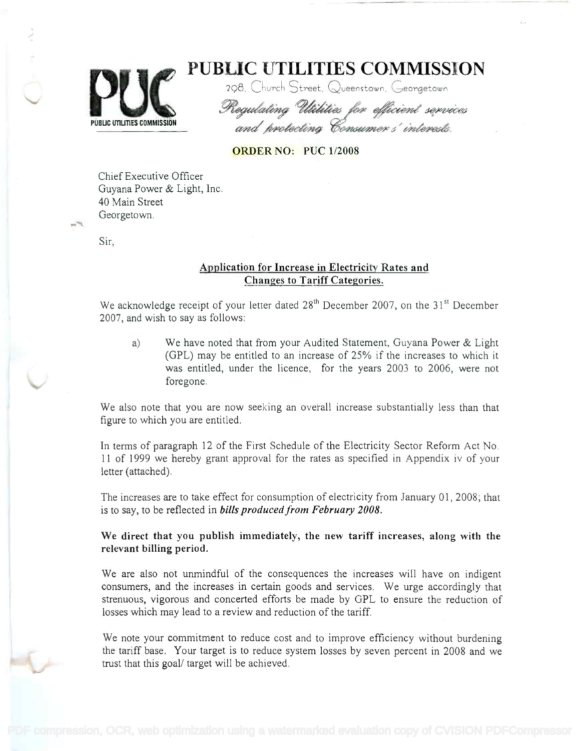

PUBLIC UTILITIES COMMISSION **PUBLIC UTILITIES COMMISSION**

298, Church Street, Queenstown, Georgetown

Regulating Utitities for efficient services and protecting Consumer s'interests

## ORDER NO: PUC 1/2008

Chief Executive Officer Chief Executive Officer Guyana Power & Light, Inc. Guyana Power & Light, Inc. 40 Main Street 40 Main Street Georgetown. Georgetown.

Sir,

## Application for Increase in Electricity Rates and Application for Increase in Electricity Rates and Changes to Tariff Categories. Changes to Tariff Categories.

We acknowledge receipt of your letter dated 28<sup>th</sup> December 2007, on the 31<sup>st</sup> December 2007, and wish to say as follows: 2007, and wish to say as follows:

a) We have noted that from your Audited Statement, Guyana Power & Light a) We have noted that from your Audited Statement, Guyana Power & Light (GPL) may be entitled to an increase of 25% if the increases to which it (GPL) may be entitled to an increase of 25% if the increases to which it was entitled, under the licence, for the years 2003 to 2006, were not was entitled, under the licence, for the years 2003 to 2006, were not foregone. foregone.

We also note that you are now seeking an overall increase substantially less than that We also note that you are now seeking an overall increase substantially less than that figure to which you are entitled. figure to which you are entitled.

In terms of paragraph 12 of the First Schedule of the Electricity Sector Reform Act No. In terms of paragraph 12 of the First Schedule of the Electricity Sector Reform Act No. 11 of 1999 we hereby grant approval for the rates as specified in Appendix iv of your 11 of 1999 we hereby grant approval for the rates as specified in Appendix iv of your letter (attached). letter (attached).

The increases are to take effect for consumption of electricity from January 01, 2008; that The increases are to take effect for consumption of electricity from January 01, 2008; that is to say, to be reflected in bills produced from February 2008. is to say, to be reflected in *bills producedfrom February 2008.*

We direct that you publish immediately, the new tariff increases, along with the We direct that you publish immediately, the new tariff increases, along with the relevant billing period. relevant billing period.

We are also not unmindful of the consequences the increases will have on indigent We are also not unmindful of the consequences the increases will have on indigent consumers, and the increases in certain goods and services. We urge accordingly that strenuous, vigorous and concerted efforts be made by GPL to ensure the reduction of strenuous, vigorous and concerted efforts be made by GPL to ensure the reduction of losses which may lead to a review and reduction of the tariff. losses which may lead to a review and reduction of the tariff.

We note your commitment to reduce cost and to improve efficiency without burdening We note your commitment to reduce cost and to improve efficiency without burdening the tariff base. Your target is to reduce system losses by seven percent in 2008 and we the tariff base. Your target is to reduce system losses by seven percent in 2008 and we trust that this goal/ target will be achieved. trust that this goal/ target will be achieved.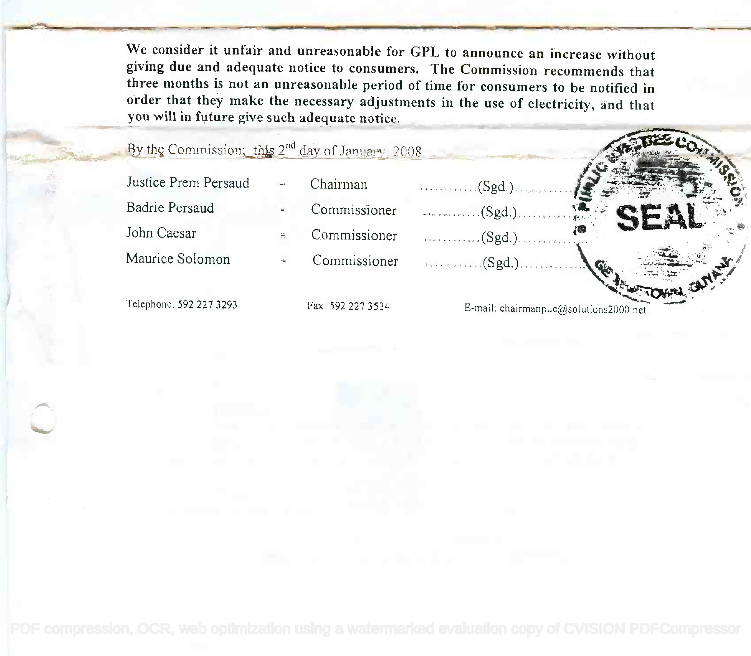We consider it unfair and unreasonable for GPL to announce an increase without giving due and adequate notice to consumers. The Commission recommends that three months is not an unreasonable period of time for consumers to be notified in order that they make the necessary adjustments in the use of electricity, and that you will in future give such adequate notice.

By the Commission; this 2<sup>nd</sup> day of January, 2008

Justice Prem Persaud **Badrie Persaud** John Caesar Maurice Solomon

Commissioner Commissioner

Chairman

Commissioner

 $\dots (Sgd.)\dots$ 

 $\dots\dots(Sgd.)$ 

 $\ldots$ . (Sgd.).

Telephone: 592 227 3293.

Fax: 592 227 3534

E-mail: chairmanpuc@solutions2000.net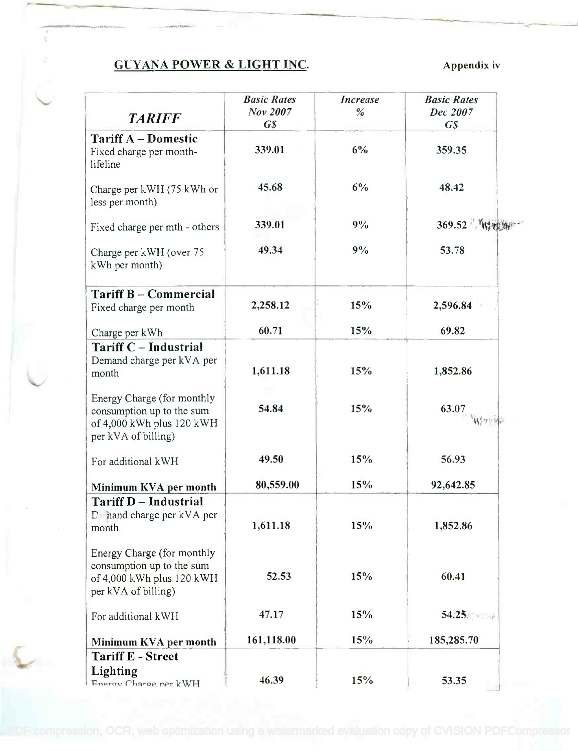## GUYANA POWER & LIGHT INC. Appendix iv

| <b>TARIFF</b>                                                                                               | <b>Basic Rates</b><br>Nov 2007<br>$\boldsymbol{G}\boldsymbol{S}$ | <b>Increase</b><br>$\%$ | <b>Basic Rates</b><br>Dec 2007<br>$\overline{GS}$ |
|-------------------------------------------------------------------------------------------------------------|------------------------------------------------------------------|-------------------------|---------------------------------------------------|
| <b>Tariff A – Domestic</b><br>Fixed charge per month-<br>lifeline.                                          | 339.01                                                           | 6%                      | 359.35                                            |
| Charge per kWH (75 kWh or<br>less per month)                                                                | 45.68                                                            | 6%                      | 48.42                                             |
| Fixed charge per mth - others                                                                               | 339.01                                                           | 9%                      | 369.52 韩州                                         |
| Charge per kWH (over 75<br>kWh per month)                                                                   | 49.34                                                            | 9%                      | 53.78                                             |
| <b>Tariff B - Commercial</b><br>Fixed charge per month                                                      | 2,258.12                                                         | 15%                     | 2,596.84                                          |
| Charge per kWh                                                                                              | 60.71                                                            | 15%                     | 69.82                                             |
| <b>Tariff C - Industrial</b><br>Demand charge per kVA per<br>month                                          | 1,611.18                                                         | 15%                     | 1,852.86                                          |
| Energy Charge (for monthly<br>consumption up to the sum<br>of 4,000 kWh plus 120 kWH<br>per kVA of billing) | 54.84                                                            | 15%                     | 63.07                                             |
| For additional kWH                                                                                          | 49.50                                                            | 15%                     | 56.93                                             |
| Minimum KVA per month                                                                                       | 80,559.00                                                        | 15%                     | 92,642.85                                         |
| <b>Tariff D</b> - Industrial<br>D. nand charge per kVA per<br>month                                         | 1,611.18                                                         | 15%                     | 1,852.86                                          |
| Energy Charge (for monthly<br>consumption up to the sum<br>of 4,000 kWh plus 120 kWH<br>per kVA of billing) | 52.53                                                            | 15%                     | 60.41                                             |
| For additional kWH                                                                                          | 47.17                                                            | 15%                     | 54.25 and ball                                    |
| Minimum KVA per month                                                                                       | 161,118.00                                                       | 15%                     | 185,285.70                                        |
| <b>Tariff E - Street</b><br>Lighting<br>Fnerov Charge ner kWH                                               | 46.39                                                            | 15%                     | 53.35                                             |